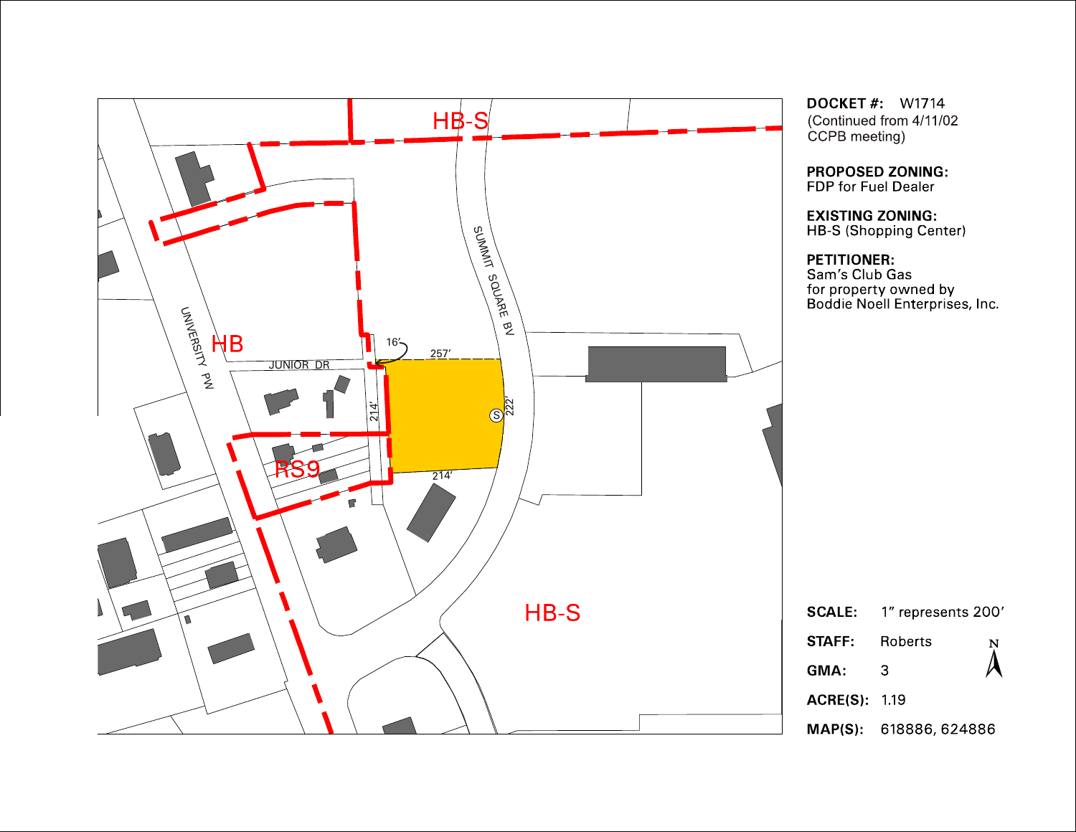

**DOCKET #: W1714** (Continued from 4/11/02 CCPB meeting)

**PROPOSED ZONING:** FDP for Fuel Dealer

EXISTING ZONING:<br>HB-S (Shopping Center)

**PETITIONER:**<br>Sam's Club Gas for property owned by<br>Boddie Noell Enterprises, Inc.

|                       | <b>SCALE:</b> 1" represents 200' |                         |
|-----------------------|----------------------------------|-------------------------|
| <b>STAFF:</b> Roberts |                                  | $\sum\limits_{i=1}^{N}$ |
| GMA:                  | З                                |                         |
| <b>ACRE(S)</b> 119    |                                  |                         |
|                       | MAP(S): 618886, 624886           |                         |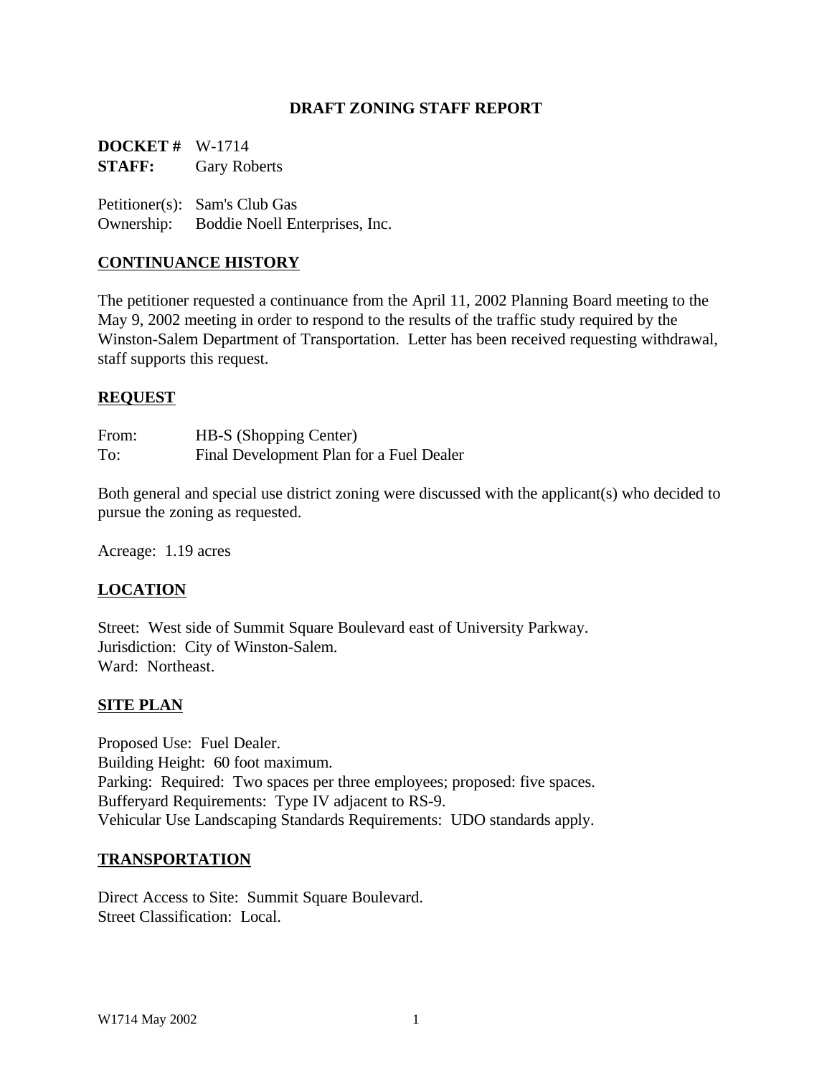#### **DRAFT ZONING STAFF REPORT**

**DOCKET #** W-1714 **STAFF:** Gary Roberts

Petitioner(s): Sam's Club Gas Ownership: Boddie Noell Enterprises, Inc.

#### **CONTINUANCE HISTORY**

The petitioner requested a continuance from the April 11, 2002 Planning Board meeting to the May 9, 2002 meeting in order to respond to the results of the traffic study required by the Winston-Salem Department of Transportation. Letter has been received requesting withdrawal, staff supports this request.

#### **REQUEST**

| From: | HB-S (Shopping Center)                   |
|-------|------------------------------------------|
| To:   | Final Development Plan for a Fuel Dealer |

Both general and special use district zoning were discussed with the applicant(s) who decided to pursue the zoning as requested.

Acreage: 1.19 acres

#### **LOCATION**

Street: West side of Summit Square Boulevard east of University Parkway. Jurisdiction: City of Winston-Salem. Ward: Northeast.

#### **SITE PLAN**

Proposed Use: Fuel Dealer. Building Height: 60 foot maximum. Parking: Required: Two spaces per three employees; proposed: five spaces. Bufferyard Requirements: Type IV adjacent to RS-9. Vehicular Use Landscaping Standards Requirements: UDO standards apply.

#### **TRANSPORTATION**

Direct Access to Site: Summit Square Boulevard. Street Classification: Local.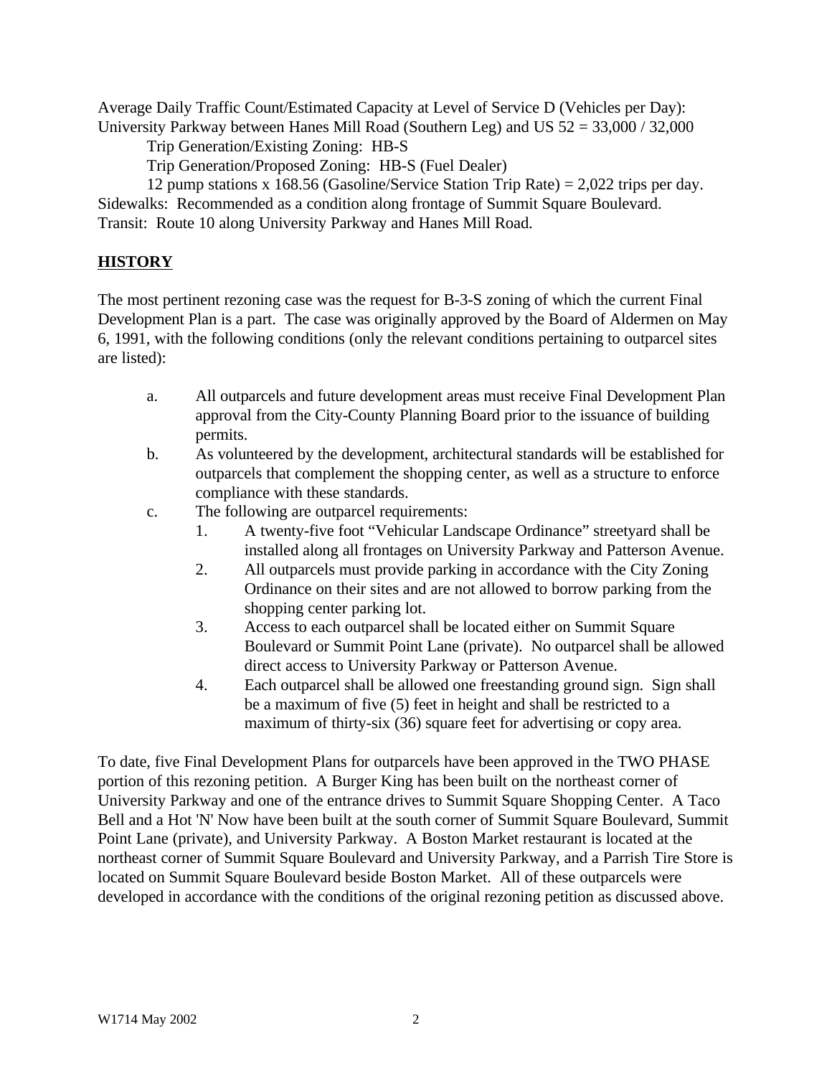Average Daily Traffic Count/Estimated Capacity at Level of Service D (Vehicles per Day): University Parkway between Hanes Mill Road (Southern Leg) and US 52 = 33,000 / 32,000

Trip Generation/Existing Zoning: HB-S

Trip Generation/Proposed Zoning: HB-S (Fuel Dealer)

12 pump stations x 168.56 (Gasoline/Service Station Trip Rate) = 2,022 trips per day. Sidewalks: Recommended as a condition along frontage of Summit Square Boulevard. Transit: Route 10 along University Parkway and Hanes Mill Road.

# **HISTORY**

The most pertinent rezoning case was the request for B-3-S zoning of which the current Final Development Plan is a part. The case was originally approved by the Board of Aldermen on May 6, 1991, with the following conditions (only the relevant conditions pertaining to outparcel sites are listed):

- a. All outparcels and future development areas must receive Final Development Plan approval from the City-County Planning Board prior to the issuance of building permits.
- b. As volunteered by the development, architectural standards will be established for outparcels that complement the shopping center, as well as a structure to enforce compliance with these standards.
- c. The following are outparcel requirements:
	- 1. A twenty-five foot "Vehicular Landscape Ordinance" streetyard shall be installed along all frontages on University Parkway and Patterson Avenue.
	- 2. All outparcels must provide parking in accordance with the City Zoning Ordinance on their sites and are not allowed to borrow parking from the shopping center parking lot.
	- 3. Access to each outparcel shall be located either on Summit Square Boulevard or Summit Point Lane (private). No outparcel shall be allowed direct access to University Parkway or Patterson Avenue.
	- 4. Each outparcel shall be allowed one freestanding ground sign. Sign shall be a maximum of five (5) feet in height and shall be restricted to a maximum of thirty-six (36) square feet for advertising or copy area.

To date, five Final Development Plans for outparcels have been approved in the TWO PHASE portion of this rezoning petition. A Burger King has been built on the northeast corner of University Parkway and one of the entrance drives to Summit Square Shopping Center. A Taco Bell and a Hot 'N' Now have been built at the south corner of Summit Square Boulevard, Summit Point Lane (private), and University Parkway. A Boston Market restaurant is located at the northeast corner of Summit Square Boulevard and University Parkway, and a Parrish Tire Store is located on Summit Square Boulevard beside Boston Market. All of these outparcels were developed in accordance with the conditions of the original rezoning petition as discussed above.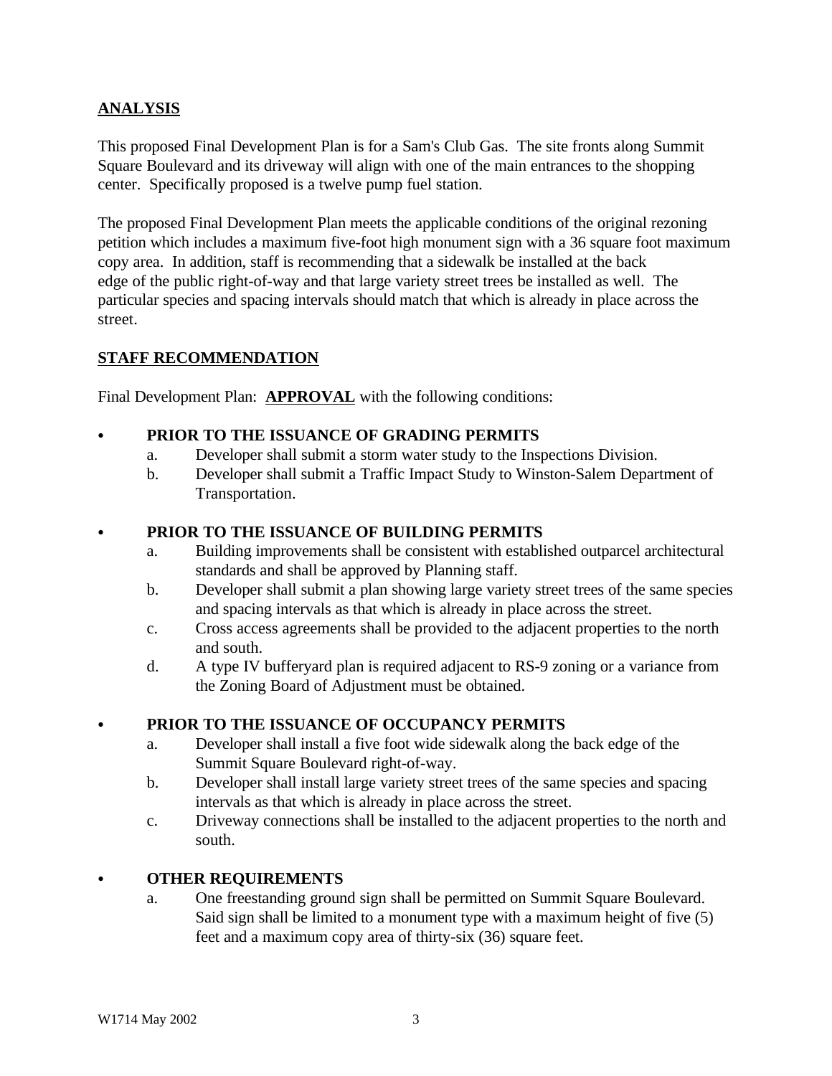# **ANALYSIS**

This proposed Final Development Plan is for a Sam's Club Gas. The site fronts along Summit Square Boulevard and its driveway will align with one of the main entrances to the shopping center. Specifically proposed is a twelve pump fuel station.

The proposed Final Development Plan meets the applicable conditions of the original rezoning petition which includes a maximum five-foot high monument sign with a 36 square foot maximum copy area. In addition, staff is recommending that a sidewalk be installed at the back edge of the public right-of-way and that large variety street trees be installed as well. The particular species and spacing intervals should match that which is already in place across the street.

# **STAFF RECOMMENDATION**

Final Development Plan: **APPROVAL** with the following conditions:

#### C **PRIOR TO THE ISSUANCE OF GRADING PERMITS**

- a. Developer shall submit a storm water study to the Inspections Division.
- b. Developer shall submit a Traffic Impact Study to Winston-Salem Department of Transportation.

## PRIOR TO THE ISSUANCE OF BUILDING PERMITS

- a. Building improvements shall be consistent with established outparcel architectural standards and shall be approved by Planning staff.
- b. Developer shall submit a plan showing large variety street trees of the same species and spacing intervals as that which is already in place across the street.
- c. Cross access agreements shall be provided to the adjacent properties to the north and south.
- d. A type IV bufferyard plan is required adjacent to RS-9 zoning or a variance from the Zoning Board of Adjustment must be obtained.

# C **PRIOR TO THE ISSUANCE OF OCCUPANCY PERMITS**

- a. Developer shall install a five foot wide sidewalk along the back edge of the Summit Square Boulevard right-of-way.
- b. Developer shall install large variety street trees of the same species and spacing intervals as that which is already in place across the street.
- c. Driveway connections shall be installed to the adjacent properties to the north and south.

# C **OTHER REQUIREMENTS**

a. One freestanding ground sign shall be permitted on Summit Square Boulevard. Said sign shall be limited to a monument type with a maximum height of five (5) feet and a maximum copy area of thirty-six (36) square feet.